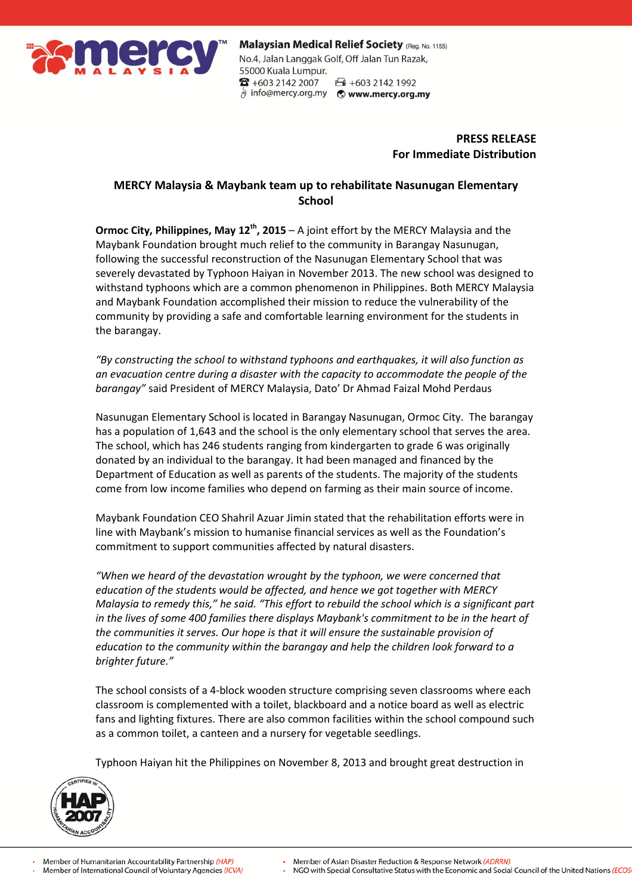

Malaysian Medical Relief Society (Reg. No. 1155) No.4, Jalan Langgak Golf, Off Jalan Tun Razak, 55000 Kuala Lumpur.  $\bullet$  +603 2142 2007 □ +603 2142 1992 hifo@mercy.org.my © www.mercy.org.my

> **PRESS RELEASE For Immediate Distribution**

# **MERCY Malaysia & Maybank team up to rehabilitate Nasunugan Elementary School**

**Ormoc City, Philippines, May 12th, 2015** – A joint effort by the MERCY Malaysia and the Maybank Foundation brought much relief to the community in Barangay Nasunugan, following the successful reconstruction of the Nasunugan Elementary School that was severely devastated by Typhoon Haiyan in November 2013. The new school was designed to withstand typhoons which are a common phenomenon in Philippines. Both MERCY Malaysia and Maybank Foundation accomplished their mission to reduce the vulnerability of the community by providing a safe and comfortable learning environment for the students in the barangay.

*"By constructing the school to withstand typhoons and earthquakes, it will also function as an evacuation centre during a disaster with the capacity to accommodate the people of the barangay"* said President of MERCY Malaysia, Dato' Dr Ahmad Faizal Mohd Perdaus

Nasunugan Elementary School is located in Barangay Nasunugan, Ormoc City. The barangay has a population of 1,643 and the school is the only elementary school that serves the area. The school, which has 246 students ranging from kindergarten to grade 6 was originally donated by an individual to the barangay. It had been managed and financed by the Department of Education as well as parents of the students. The majority of the students come from low income families who depend on farming as their main source of income.

Maybank Foundation CEO Shahril Azuar Jimin stated that the rehabilitation efforts were in line with Maybank's mission to humanise financial services as well as the Foundation's commitment to support communities affected by natural disasters.

*"When we heard of the devastation wrought by the typhoon, we were concerned that education of the students would be affected, and hence we got together with MERCY Malaysia to remedy this," he said. "This effort to rebuild the school which is a significant part in the lives of some 400 families there displays Maybank's commitment to be in the heart of the communities it serves. Our hope is that it will ensure the sustainable provision of education to the community within the barangay and help the children look forward to a brighter future."* 

The school consists of a 4-block wooden structure comprising seven classrooms where each classroom is complemented with a toilet, blackboard and a notice board as well as electric fans and lighting fixtures. There are also common facilities within the school compound such as a common toilet, a canteen and a nursery for vegetable seedlings.

Typhoon Haiyan hit the Philippines on November 8, 2013 and brought great destruction in



NGO with Special Consultative Status with the Economic and Social Council of the United Nations (ECOS

Member of Asian Disaster Reduction & Response Network (ADRRN)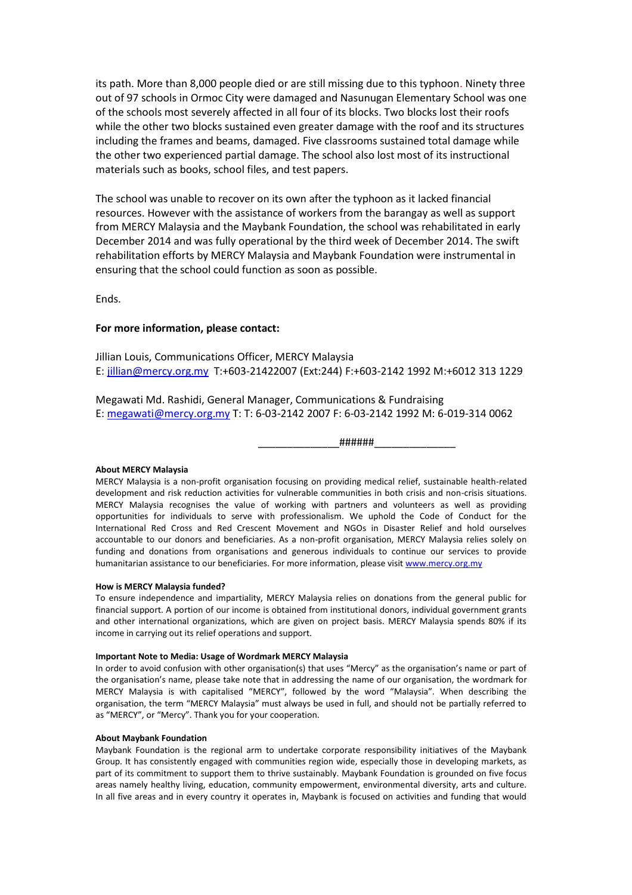its path. More than 8,000 people died or are still missing due to this typhoon. Ninety three out of 97 schools in Ormoc City were damaged and Nasunugan Elementary School was one of the schools most severely affected in all four of its blocks. Two blocks lost their roofs while the other two blocks sustained even greater damage with the roof and its structures including the frames and beams, damaged. Five classrooms sustained total damage while the other two experienced partial damage. The school also lost most of its instructional materials such as books, school files, and test papers.

The school was unable to recover on its own after the typhoon as it lacked financial resources. However with the assistance of workers from the barangay as well as support from MERCY Malaysia and the Maybank Foundation, the school was rehabilitated in early December 2014 and was fully operational by the third week of December 2014. The swift rehabilitation efforts by MERCY Malaysia and Maybank Foundation were instrumental in ensuring that the school could function as soon as possible.

Ends.

## **For more information, please contact:**

Jillian Louis, Communications Officer, MERCY Malaysia E: jillian@mercy.org.my T:+603-21422007 (Ext:244) F:+603-2142 1992 M:+6012 313 1229

Megawati Md. Rashidi, General Manager, Communications & Fundraising E: [megawati@mercy.org.my](mailto:megawati@mercy.org.my) T: T: 6-03-2142 2007 F: 6-03-2142 1992 M: 6-019-314 0062

\_\_\_\_\_\_\_\_\_\_\_\_\_\_######\_\_\_\_\_\_\_\_\_\_\_\_\_\_

### **About MERCY Malaysia**

MERCY Malaysia is a non-profit organisation focusing on providing medical relief, sustainable health-related development and risk reduction activities for vulnerable communities in both crisis and non-crisis situations. MERCY Malaysia recognises the value of working with partners and volunteers as well as providing opportunities for individuals to serve with professionalism. We uphold the Code of Conduct for the International Red Cross and Red Crescent Movement and NGOs in Disaster Relief and hold ourselves accountable to our donors and beneficiaries. As a non-profit organisation, MERCY Malaysia relies solely on funding and donations from organisations and generous individuals to continue our services to provide humanitarian assistance to our beneficiaries. For more information, please visit [www.mercy.org.my](http://www.mercy.org.my/)

### **How is MERCY Malaysia funded?**

To ensure independence and impartiality, MERCY Malaysia relies on donations from the general public for financial support. A portion of our income is obtained from institutional donors, individual government grants and other international organizations, which are given on project basis. MERCY Malaysia spends 80% if its income in carrying out its relief operations and support.

### **Important Note to Media: Usage of Wordmark MERCY Malaysia**

In order to avoid confusion with other organisation(s) that uses "Mercy" as the organisation's name or part of the organisation's name, please take note that in addressing the name of our organisation, the wordmark for MERCY Malaysia is with capitalised "MERCY", followed by the word "Malaysia". When describing the organisation, the term "MERCY Malaysia" must always be used in full, and should not be partially referred to as "MERCY", or "Mercy". Thank you for your cooperation.

### **About Maybank Foundation**

Maybank Foundation is the regional arm to undertake corporate responsibility initiatives of the Maybank Group. It has consistently engaged with communities region wide, especially those in developing markets, as part of its commitment to support them to thrive sustainably. Maybank Foundation is grounded on five focus areas namely healthy living, education, community empowerment, environmental diversity, arts and culture. In all five areas and in every country it operates in, Maybank is focused on activities and funding that would